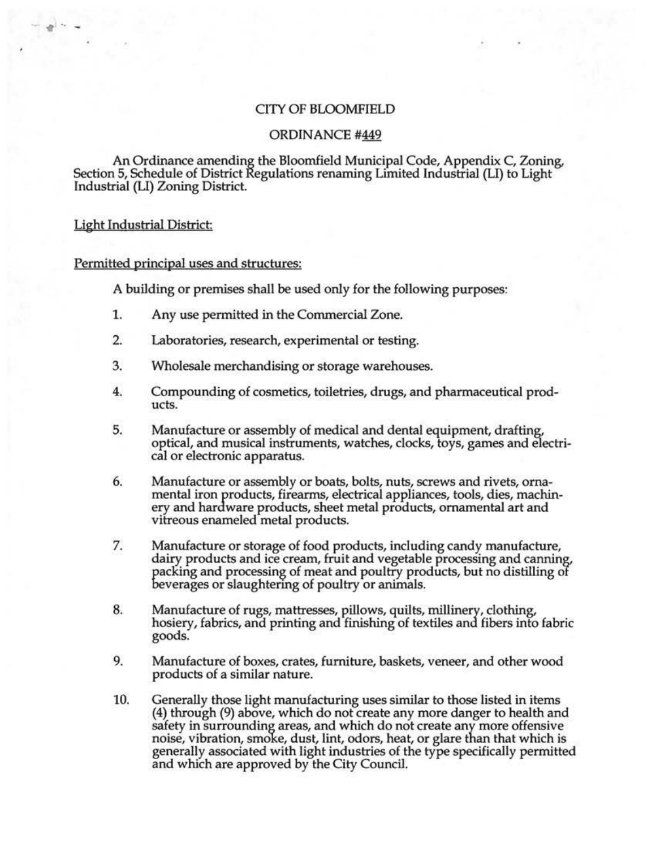## CITY OF BLOOMFIELD

# ORDINANCE #449

An Ordinance amending the Bloomfield Municipal Code, Appendix C, Zoning, Section 5, Schedule of District Regulations renaming Limited Industrial (LI) to Light Industrial (LI) Zoning District.

### Light Industrial District

• . -

### Permitted principal uses and structures:

A building or premises shall be used only for the following purposes:

- 1. Any use permitted in the Commercial Zone.
- 2. Laboratories, research, experimental or testing.
- 3. Wholesale merchandising or storage warehouses.
- 4. Compounding of cosmetics, toiletries, drugs, and pharmaceutical products.
- 5. Manufacture or assembly of medical and dental equipment, drafting, optical, and musical instruments, watches, clocks, toys, games and electrical or electronic apparatus.
- 6. Manufacture or assembly or boats, bolts, nuts, screws and rivets, orna- mental iron products, firearms, electrical appliances, tools, dies, machinery and hardware products, sheet metal products, ornamental art and vitreous enameled metal products.
- 7. Manufacture or storage of food products, including candy manufacture, dairy products and ice cream, fruit and vegetable processing and canning, packing and processing of meat and poultry products, but no distilling of beverages or slaughtering of poultry or animals.
- 8. Manufacture of rugs, mattresses, pillows, quilts, millinery, clothing, hosiery, fabrics, and printing and finishing of textiles and fibers into fabric goods.
- 9. Manufacture of boxes, crates, furniture, baskets, veneer, and other wood products of a similar nature.
- 10. Generally those light manufacturing uses similar to those listed in items (4) through (9) above, which do not create any more danger to health and safety in surrounding areas, and which do not create any more offensive noise, vibration, smoke, dust, lint, odors, heat, or glare than that which is generally associated with light industries of the type specifically permitted and which are approved by the City Council.